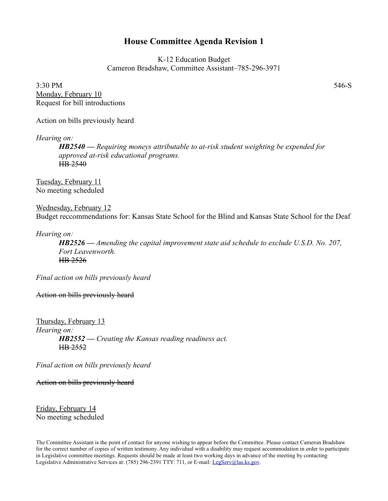## **House Committee Agenda Revision 1**

K-12 Education Budget Cameron Bradshaw, Committee Assistant–785-296-3971

 $3:30 \text{ PM}$  546-S Monday, February 10 Request for bill introductions

Action on bills previously heard

*Hearing on:*

*HB2540 — Requiring moneys attributable to at-risk student weighting be expended for approved at-risk educational programs.* HB 2540

Tuesday, February 11 No meeting scheduled

Wednesday, February 12 Budget reccommendations for: Kansas State School for the Blind and Kansas State School for the Deaf

*Hearing on:*

*HB2526 — Amending the capital improvement state aid schedule to exclude U.S.D. No. 207, Fort Leavenworth.* HB 2526

*Final action on bills previously heard*

Action on bills previously heard

Thursday, February 13 *Hearing on: HB2552 — Creating the Kansas reading readiness act.* HB 2552

*Final action on bills previously heard*

Action on bills previously heard

Friday, February 14 No meeting scheduled

The Committee Assistant is the point of contact for anyone wishing to appear before the Committee. Please contact Cameron Bradshaw for the correct number of copies of written testimony. Any individual with a disability may request accommodation in order to participate in Legislative committee meetings. Requests should be made at least two working days in advance of the meeting by contacting Legislative Administrative Services at: (785) 296-2391 TTY: 711, or E-mail: [LegServ@las.ks.gov.](mailto:LegServ@las.ks.gov)